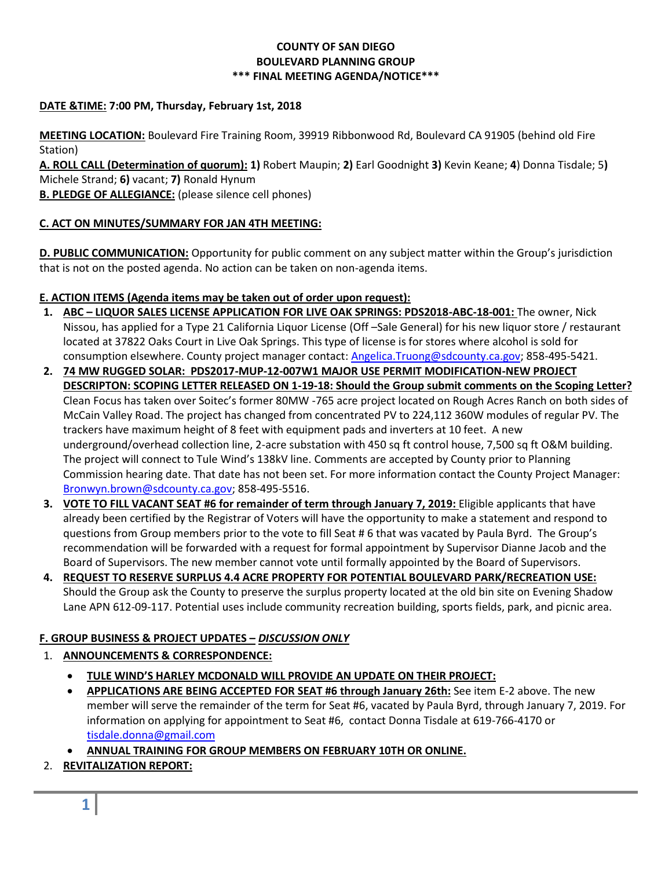### **COUNTY OF SAN DIEGO BOULEVARD PLANNING GROUP \*\*\* FINAL MEETING AGENDA/NOTICE\*\*\***

### **DATE &TIME: 7:00 PM, Thursday, February 1st, 2018**

**MEETING LOCATION:** Boulevard Fire Training Room, 39919 Ribbonwood Rd, Boulevard CA 91905 (behind old Fire Station)

**A. ROLL CALL (Determination of quorum): 1)** Robert Maupin; **2)** Earl Goodnight **3)** Kevin Keane; **4**) Donna Tisdale; 5**)**  Michele Strand; **6)** vacant; **7)** Ronald Hynum

**B. PLEDGE OF ALLEGIANCE:** (please silence cell phones)

### **C. ACT ON MINUTES/SUMMARY FOR JAN 4TH MEETING:**

**D. PUBLIC COMMUNICATION:** Opportunity for public comment on any subject matter within the Group's jurisdiction that is not on the posted agenda. No action can be taken on non-agenda items.

### **E. ACTION ITEMS (Agenda items may be taken out of order upon request):**

- **1. ABC – LIQUOR SALES LICENSE APPLICATION FOR LIVE OAK SPRINGS: PDS2018-ABC-18-001:** The owner, Nick Nissou, has applied for a Type 21 California Liquor License (Off –Sale General) for his new liquor store / restaurant located at 37822 Oaks Court in Live Oak Springs. This type of license is for stores where alcohol is sold for consumption elsewhere. County project manager contact: [Angelica.Truong@sdcounty.ca.gov;](mailto:Angelica.Truong@sdcounty.ca.gov) 858-495-5421.
- **2. 74 MW RUGGED SOLAR: PDS2017-MUP-12-007W1 MAJOR USE PERMIT MODIFICATION-NEW PROJECT DESCRIPTON: SCOPING LETTER RELEASED ON 1-19-18: Should the Group submit comments on the Scoping Letter?** Clean Focus has taken over Soitec's former 80MW -765 acre project located on Rough Acres Ranch on both sides of McCain Valley Road. The project has changed from concentrated PV to 224,112 360W modules of regular PV. The trackers have maximum height of 8 feet with equipment pads and inverters at 10 feet. A new underground/overhead collection line, 2-acre substation with 450 sq ft control house, 7,500 sq ft O&M building. The project will connect to Tule Wind's 138kV line. Comments are accepted by County prior to Planning Commission hearing date. That date has not been set. For more information contact the County Project Manager: [Bronwyn.brown@sdcounty.ca.gov;](mailto:Bronwyn.brown@sdcounty.ca.gov) 858-495-5516.
- **3. VOTE TO FILL VACANT SEAT #6 for remainder of term through January 7, 2019:** Eligible applicants that have already been certified by the Registrar of Voters will have the opportunity to make a statement and respond to questions from Group members prior to the vote to fill Seat # 6 that was vacated by Paula Byrd. The Group's recommendation will be forwarded with a request for formal appointment by Supervisor Dianne Jacob and the Board of Supervisors. The new member cannot vote until formally appointed by the Board of Supervisors.
- **4. REQUEST TO RESERVE SURPLUS 4.4 ACRE PROPERTY FOR POTENTIAL BOULEVARD PARK/RECREATION USE:** Should the Group ask the County to preserve the surplus property located at the old bin site on Evening Shadow Lane APN 612-09-117. Potential uses include community recreation building, sports fields, park, and picnic area.

# **F. GROUP BUSINESS & PROJECT UPDATES –** *DISCUSSION ONLY*

# 1. **ANNOUNCEMENTS & CORRESPONDENCE:**

- **TULE WIND'S HARLEY MCDONALD WILL PROVIDE AN UPDATE ON THEIR PROJECT:**
- **APPLICATIONS ARE BEING ACCEPTED FOR SEAT #6 through January 26th:** See item E-2 above. The new member will serve the remainder of the term for Seat #6, vacated by Paula Byrd, through January 7, 2019. For information on applying for appointment to Seat #6, contact Donna Tisdale at 619-766-4170 or [tisdale.donna@gmail.com](mailto:tisdale.donna@gmail.com)

**ANNUAL TRAINING FOR GROUP MEMBERS ON FEBRUARY 10TH OR ONLINE.**

2. **REVITALIZATION REPORT:**